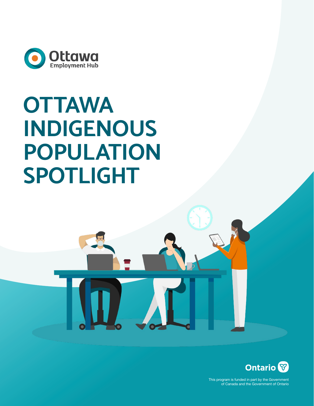

# **OTTAWA INDIGENOUS POPULATION SPOTLIGHT**



This program is funded in part by the Government of Canada and the Government of Ontario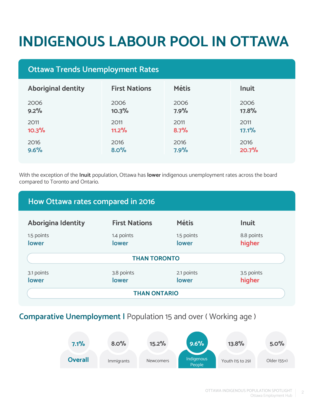# **INDIGENOUS LABOUR POOL IN OTTAWA**

## **Ottawa Trends Unemployment Rates**

| <b>Aboriginal dentity</b> | <b>First Nations</b> | <b>Métis</b> | <b>Inuit</b> |
|---------------------------|----------------------|--------------|--------------|
| 2006                      | 2006                 | 2006         | 2006         |
| 9.2%                      | 10.3%                | 7.9%         | 17.8%        |
| 2011                      | 2011                 | 2011         | 2011         |
| 10.3%                     | 11.2%                | 8.7%         | 17.1%        |
| 2016                      | 2016                 | 2016         | 2016         |
| 9.6%                      | 8.0%                 | 7.9%         | 20.7%        |

With the exception of the **Inuit** population, Ottawa has **lower** indigenous unemployment rates across the board compared to Toronto and Ontario.



### **Comparative Unemployment |** Population 15 and over ( Working age )

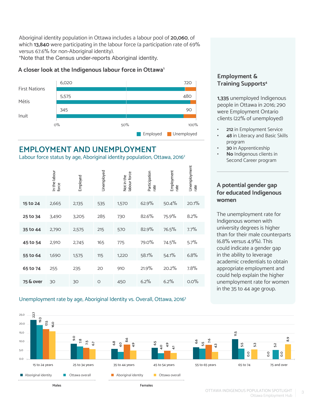Aboriginal identity population in Ottawa includes a labour pool of **20,060**, of which **13,840** were participating in the labour force (a participation rate of 69% versus 67.6% for non-Aboriginal identity).

\*Note that the Census under-reports Aboriginal identity.

#### **A closer look at the Indigenous labour force in Ottawa1**



## **EMPLOYMENT AND UNEMPLOYMENT**

Labour force status by age, Aboriginal identity population, Ottawa, 2016<sup>2</sup>

|           | In the labour<br>force | Employed | Unemployed | labour force<br>Not in the | Participation<br>rate | Employment<br>rate | Unemployment<br>rate |
|-----------|------------------------|----------|------------|----------------------------|-----------------------|--------------------|----------------------|
| 15 to 24  | 2,665                  | 2,135    | 535        | 1,570                      | 62.9%                 | 50.4%              | 20.1%                |
| 25 to 34  | 3,490                  | 3,205    | 285        | 730                        | 82.6%                 | 75.9%              | 8.2%                 |
| 35 to 44  | 2,790                  | 2,575    | 215        | 570                        | 82.9%                 | 76.5%              | 7.7%                 |
| 45 to 54  | 2,910                  | 2,745    | 165        | 775                        | 79.0%                 | 74.5%              | 5.7%                 |
| 55 to 64  | 1,690                  | 1,575    | 115        | 1,220                      | 58.1%                 | 54.1%              | 6.8%                 |
| 65 to 74  | 255                    | 235      | 20         | 910                        | 21.9%                 | 20.2%              | 7.8%                 |
| 75 & over | 30                     | 30       | $\circ$    | 450                        | 6.2%                  | 6.2%               | 0.0%                 |

#### Unemployment rate by age, Aboriginal Identity vs. Overall, Ottawa, 20163

#### **Employment & Training Supports<sup>4</sup>**

**1,335** unemployed Indigenous people in Ottawa in 2016; 290 were Employment Ontario clients (22% of unemployed)

- **• 212** in Employment Service
- **• 48** in Literacy and Basic Skills program
- **• 30** in Apprenticeship
- **• No** Indigenous clients in Second Career program

#### **A potential gender gap for educated Indigenous women**

The unemployment rate for Indigenous women with university degrees is higher than for their male counterparts (6.8% versus 4.9%). This could indicate a gender gap in the ability to leverage academic credentials to obtain appropriate employment and could help explain the higher unemployment rate for women in the 35 to 44 age group.

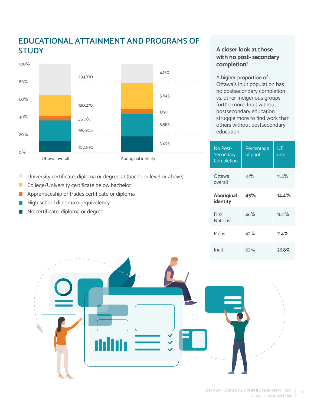# **EDUCATIONAL ATTAINMENT AND PROGRAMS OF STUDY**



- п University certificate, diploma or degree at (bachelor level or above)
- $\mathbb{R}^3$ College/University certificate below bachelor
- $\mathbb{R}^3$ Apprenticeship or trades certificate or diploma
- High school diploma or equivalency
- No certificate, diploma or degree

#### **A closer look at those with no post- secondary completion5**

A higher proportion of Ottawa's Inuit population has no postsecondary completion vs. other Indigenous groups; furthermore, Inuit without postsecondary education struggle more to find work than others without postsecondary education.

| No Post-<br>Secondary<br>Completion | Percentage<br>of pool | UE<br>rate |
|-------------------------------------|-----------------------|------------|
| Ottawa<br>overall                   | 37%                   | $11.4\%$   |
| Aboriginal<br>identity              | 45%                   | 14.4%      |
| First<br><b>Nations</b>             | 46%                   | 16.2%      |
| Métis                               | 42%                   | $11.4\%$   |
| Inuit                               | 62%                   | 26.8%      |

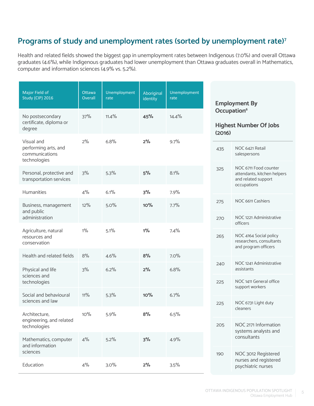# **Programs of study and unemployment rates (sorted by unemployment rate)7**

Health and related fields showed the biggest gap in unemployment rates between Indigenous (7.0%) and overall Ottawa graduates (4.6%), while Indigenous graduates had lower unemployment than Ottawa graduates overall in Mathematics, computer and information sciences (4.9% vs. 5.2%).

| Major Field of<br><b>Study (CIP) 2016</b>                            | Ottawa<br>Overall | Unemployment<br>rate | Aboriginal<br>identity | Unemployment<br>rate |                                                                    | <b>Employment By</b>                                                                       |
|----------------------------------------------------------------------|-------------------|----------------------|------------------------|----------------------|--------------------------------------------------------------------|--------------------------------------------------------------------------------------------|
| No postsecondary<br>certificate, diploma or<br>degree                | 37%               | 11.4%                | 45%                    | 14.4%                | Occupation <sup>6</sup><br><b>Highest Number Of Jobs</b><br>(2016) |                                                                                            |
| Visual and<br>performing arts, and<br>communications<br>technologies | 2%                | 6.8%                 | 2%                     | 9.7%                 | 435                                                                | NOC 6421 Retail<br>salespersons                                                            |
| Personal, protective and<br>transportation services                  | 3%                | 5.3%                 | 5%                     | 8.1%                 | 325                                                                | NOC 6711 Food counter<br>attendants, kitchen helpers<br>and related support<br>occupations |
| Humanities                                                           | 4%                | 6.1%                 | 3%                     | 7.9%                 |                                                                    |                                                                                            |
| Business, management                                                 | 12%               | 5.0%                 | 10%                    | 7.7%                 | 275                                                                | NOC 6611 Cashiers                                                                          |
| and public<br>administration                                         |                   |                      |                        |                      | 270                                                                | NOC 1221 Administrative<br>officers                                                        |
| Agriculture, natural<br>resources and<br>conservation                | $1\%$             | 5.1%                 | $1\%$                  | 7.4%                 | 265                                                                | NOC 4164 Social policy<br>researchers, consultants<br>and program officers                 |
| Health and related fields                                            | 8%                | 4.6%                 | 8%                     | 7.0%                 |                                                                    |                                                                                            |
| Physical and life                                                    | 3%                | 6.2%                 | 2%                     | 6.8%                 | 240                                                                | NOC 1241 Administrative<br>assistants                                                      |
| sciences and<br>technologies                                         |                   |                      |                        |                      | 225                                                                | NOC 1411 General office<br>support workers                                                 |
| Social and behavioural<br>sciences and law                           | 11%               | 5.3%                 | 10%                    | 6.7%                 | 225                                                                | NOC 6731 Light duty                                                                        |
| Architecture,<br>engineering, and related                            | 10%               | 5.9%                 | 8%                     | 6.5%                 | 205                                                                | cleaners<br>NOC 2171 Information                                                           |
| technologies                                                         |                   |                      |                        |                      |                                                                    | systems analysts and<br>consultants                                                        |
| Mathematics, computer<br>and information<br>sciences                 | 4%                | 5.2%                 | 3%                     | 4.9%                 | 190                                                                | NOC 3012 Registered                                                                        |
| Education                                                            | 4%                | 3.0%                 | 2%                     | 3.5%                 |                                                                    | nurses and registered<br>psychiatric nurses                                                |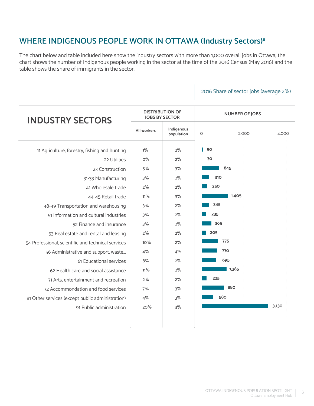# **WHERE INDIGENOUS PEOPLE WORK IN OTTAWA (Industry Sectors)8**

The chart below and table included here show the industry sectors with more than 1,000 overall jobs in Ottawa; the chart shows the number of Indigenous people working in the sector at the time of the 2016 Census (May 2016) and the table shows the share of immigrants in the sector.

#### 2016 Share of sector jobs (average 2%)

| <b>INDUSTRY SECTORS</b>                            | <b>DISTRIBUTION OF</b><br><b>JOBS BY SECTOR</b> |                          | <b>NUMBER OF JOBS</b>     |  |  |
|----------------------------------------------------|-------------------------------------------------|--------------------------|---------------------------|--|--|
|                                                    | All workers                                     | Indigenous<br>population | 2,000<br>$\circ$<br>4,000 |  |  |
| 11 Agriculture, forestry, fishing and hunting      | $1\%$                                           | 2%                       | 50                        |  |  |
| 22 Utilities                                       | $O\%$                                           | 2%                       | 30                        |  |  |
| 23 Construction                                    | 5%                                              | 3%                       | 845                       |  |  |
| 31-33 Manufacturing                                | 3%                                              | 2%                       | 310                       |  |  |
| 41 Wholesale trade                                 | 2%                                              | 2%                       | 250                       |  |  |
| 44-45 Retail trade                                 | 11%                                             | 3%                       | 1,405                     |  |  |
| 48-49 Transportation and warehousing               | 3%                                              | 2%                       | 345                       |  |  |
| 51 Information and cultural industries             | 3%                                              | 2%                       | 235                       |  |  |
| 52 Finance and insurance                           | 3%                                              | 2%                       | 365                       |  |  |
| 53 Real estate and rental and leasing              | 2%                                              | 2%                       | 205                       |  |  |
| 54 Professional, scientific and technical services | 10%                                             | 2%                       | 775                       |  |  |
| 56 Administrative and support, waste               | 4%                                              | 4%                       | 770                       |  |  |
| 61 Educational services                            | 8%                                              | 2%                       | 695                       |  |  |
| 62 Health care and social assistance               | $11\%$                                          | 2%                       | 1,385                     |  |  |
| 71 Arts, entertainment and recreation              | $2\%$                                           | 2%                       | 225                       |  |  |
| 72 Accommondation and food services                | 7%                                              | 3%                       | 880                       |  |  |
| 81 Other services (except public administration)   | 4%                                              | 3%                       | 580                       |  |  |
| 91 Public administration                           | 20%                                             | 3%                       | 3,130                     |  |  |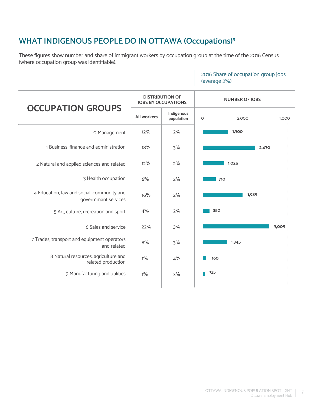# **WHAT INDIGENOUS PEOPLE DO IN OTTAWA (Occupations)9**

These figures show number and share of immigrant workers by occupation group at the time of the 2016 Census (where occupation group was identifiable).

|                                                                   | <b>JOBS BY OCCUPATIONS</b> | <b>DISTRIBUTION OF</b>   | <b>NUMBER OF JOBS</b>     |  |  |
|-------------------------------------------------------------------|----------------------------|--------------------------|---------------------------|--|--|
| <b>OCCUPATION GROUPS</b>                                          | <b>All workers</b>         | Indigenous<br>population | $\circ$<br>2,000<br>4,000 |  |  |
| O Management                                                      | 12%                        | 2%                       | 1,300                     |  |  |
| 1 Business, finance and administration                            | 18%                        | 3%                       | 2,470                     |  |  |
| 2 Natural and applied sciences and related                        | 12%                        | 2%                       | 1,025                     |  |  |
| 3 Health occupation                                               | 6%                         | 2%                       | 710                       |  |  |
| 4 Education, law and social, community and<br>govermmant services | 16%                        | 2%                       | 1,985                     |  |  |
| 5 Art, culture, recreation and sport                              | 4%                         | 2%                       | 350                       |  |  |
| 6 Sales and service                                               | 22%                        | 3%                       | 3,005                     |  |  |
| 7 Trades, transport and equipment operators<br>and related        | 8%                         | 3%                       | 1,345                     |  |  |
| 8 Natural resources, agriculture and<br>related production        | $1\%$                      | 4%                       | 160                       |  |  |
| 9 Manufacturing and utilities                                     | $1\%$                      | 3%                       | 135                       |  |  |
|                                                                   |                            |                          |                           |  |  |

2016 Share of occupation group jobs (average 2%)